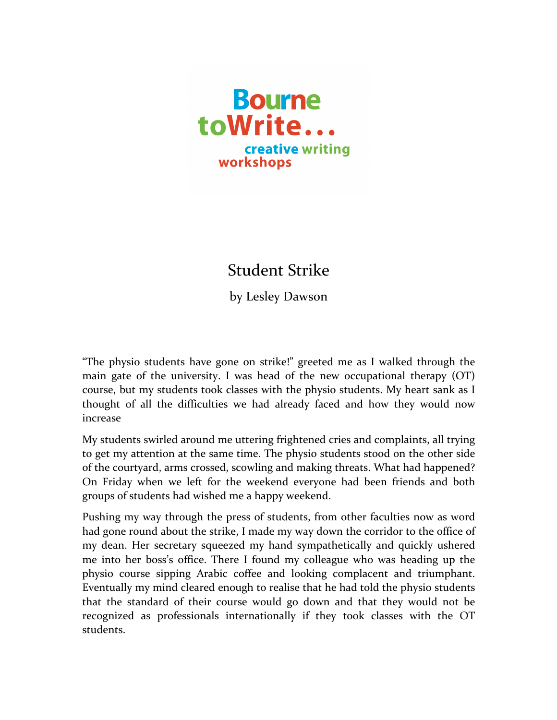

## Student Strike

by Lesley Dawson

"The physio students have gone on strike!" greeted me as I walked through the main gate of the university. I was head of the new occupational therapy  $(OT)$ course, but my students took classes with the physio students. My heart sank as I thought of all the difficulties we had already faced and how they would now increase

My students swirled around me uttering frightened cries and complaints, all trying to get my attention at the same time. The physio students stood on the other side of the courtyard, arms crossed, scowling and making threats. What had happened? On Friday when we left for the weekend everyone had been friends and both groups of students had wished me a happy weekend.

Pushing my way through the press of students, from other faculties now as word had gone round about the strike, I made my way down the corridor to the office of my dean. Her secretary squeezed my hand sympathetically and quickly ushered me into her boss's office. There I found my colleague who was heading up the physio course sipping Arabic coffee and looking complacent and triumphant. Eventually my mind cleared enough to realise that he had told the physio students that the standard of their course would go down and that they would not be recognized as professionals internationally if they took classes with the OT students.